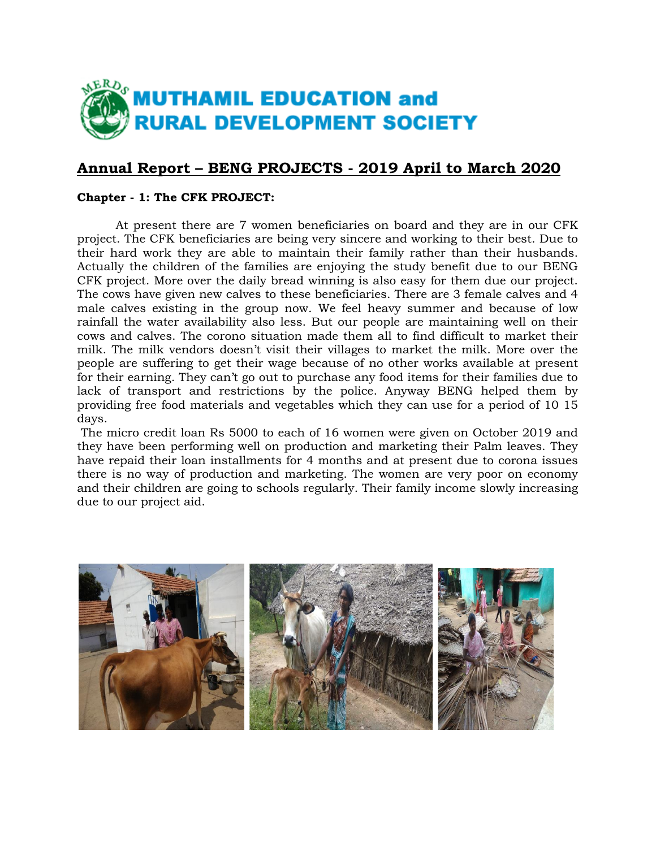

# **Annual Report – BENG PROJECTS - 2019 April to March 2020**

### **Chapter - 1: The CFK PROJECT:**

 At present there are 7 women beneficiaries on board and they are in our CFK project. The CFK beneficiaries are being very sincere and working to their best. Due to their hard work they are able to maintain their family rather than their husbands. Actually the children of the families are enjoying the study benefit due to our BENG CFK project. More over the daily bread winning is also easy for them due our project. The cows have given new calves to these beneficiaries. There are 3 female calves and 4 male calves existing in the group now. We feel heavy summer and because of low rainfall the water availability also less. But our people are maintaining well on their cows and calves. The corono situation made them all to find difficult to market their milk. The milk vendors doesn't visit their villages to market the milk. More over the people are suffering to get their wage because of no other works available at present for their earning. They can't go out to purchase any food items for their families due to lack of transport and restrictions by the police. Anyway BENG helped them by providing free food materials and vegetables which they can use for a period of 10 15 days.

The micro credit loan Rs 5000 to each of 16 women were given on October 2019 and they have been performing well on production and marketing their Palm leaves. They have repaid their loan installments for 4 months and at present due to corona issues there is no way of production and marketing. The women are very poor on economy and their children are going to schools regularly. Their family income slowly increasing due to our project aid.

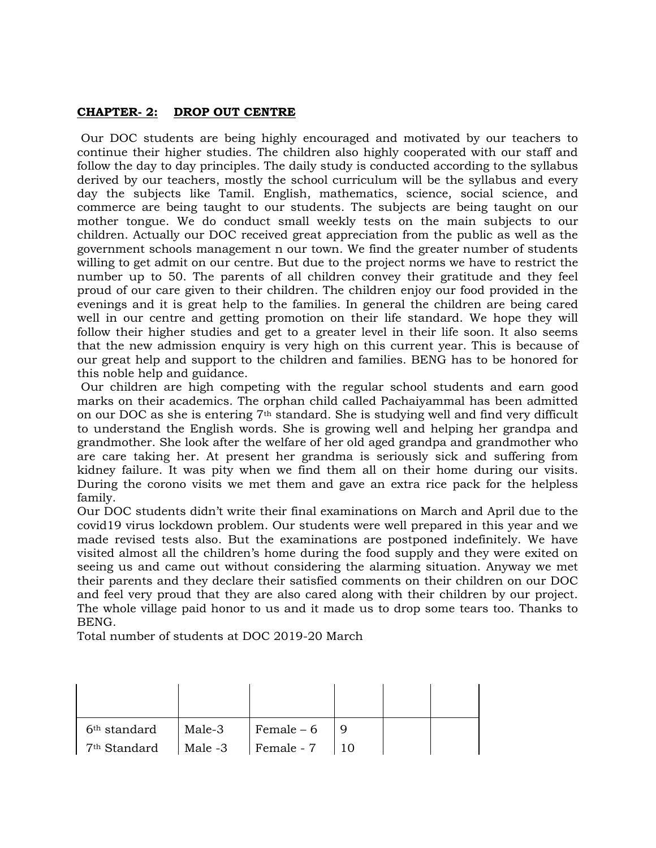## **CHAPTER- 2: DROP OUT CENTRE**

Our DOC students are being highly encouraged and motivated by our teachers to continue their higher studies. The children also highly cooperated with our staff and follow the day to day principles. The daily study is conducted according to the syllabus derived by our teachers, mostly the school curriculum will be the syllabus and every day the subjects like Tamil. English, mathematics, science, social science, and commerce are being taught to our students. The subjects are being taught on our mother tongue. We do conduct small weekly tests on the main subjects to our children. Actually our DOC received great appreciation from the public as well as the government schools management n our town. We find the greater number of students willing to get admit on our centre. But due to the project norms we have to restrict the number up to 50. The parents of all children convey their gratitude and they feel proud of our care given to their children. The children enjoy our food provided in the evenings and it is great help to the families. In general the children are being cared well in our centre and getting promotion on their life standard. We hope they will follow their higher studies and get to a greater level in their life soon. It also seems that the new admission enquiry is very high on this current year. This is because of our great help and support to the children and families. BENG has to be honored for this noble help and guidance.

Our children are high competing with the regular school students and earn good marks on their academics. The orphan child called Pachaiyammal has been admitted on our DOC as she is entering  $7<sup>th</sup>$  standard. She is studying well and find very difficult to understand the English words. She is growing well and helping her grandpa and grandmother. She look after the welfare of her old aged grandpa and grandmother who are care taking her. At present her grandma is seriously sick and suffering from kidney failure. It was pity when we find them all on their home during our visits. During the corono visits we met them and gave an extra rice pack for the helpless family.

Our DOC students didn't write their final examinations on March and April due to the covid19 virus lockdown problem. Our students were well prepared in this year and we made revised tests also. But the examinations are postponed indefinitely. We have visited almost all the children's home during the food supply and they were exited on seeing us and came out without considering the alarming situation. Anyway we met their parents and they declare their satisfied comments on their children on our DOC and feel very proud that they are also cared along with their children by our project. The whole village paid honor to us and it made us to drop some tears too. Thanks to BENG.

Total number of students at DOC 2019-20 March

| 6 <sup>th</sup> standard | Male-3  | Female $-6$ |  |  |
|--------------------------|---------|-------------|--|--|
| 7 <sup>th</sup> Standard | Male -3 | Female - 7  |  |  |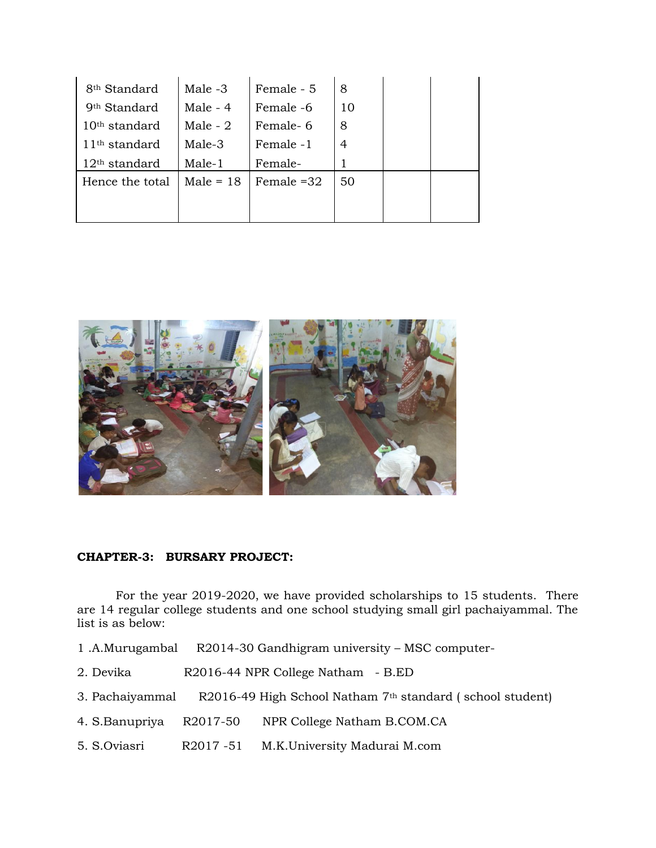| 8 <sup>th</sup> Standard | Male -3     | Female - 5   | 8  |  |
|--------------------------|-------------|--------------|----|--|
| 9 <sup>th</sup> Standard | Male $-4$   | Female -6    | 10 |  |
| $10th$ standard          | Male - $2$  | Female-6     | 8  |  |
| $11th$ standard          | Male-3      | Female -1    | 4  |  |
| $12th$ standard          | Male-1      | Female-      |    |  |
| Hence the total          | Male = $18$ | Female $=32$ | 50 |  |
|                          |             |              |    |  |
|                          |             |              |    |  |



#### **CHAPTER-3: BURSARY PROJECT:**

For the year 2019-2020, we have provided scholarships to 15 students. There are 14 regular college students and one school studying small girl pachaiyammal. The list is as below:

- 1 .A.Murugambal R2014-30 Gandhigram university MSC computer-
- 2. Devika R2016-44 NPR College Natham B.ED
- 3. Pachaiyammal R2016-49 High School Natham 7th standard ( school student)
- 4. S.Banupriya R2017-50 NPR College Natham B.COM.CA
- 5. S.Oviasri R2017 -51 M.K.University Madurai M.com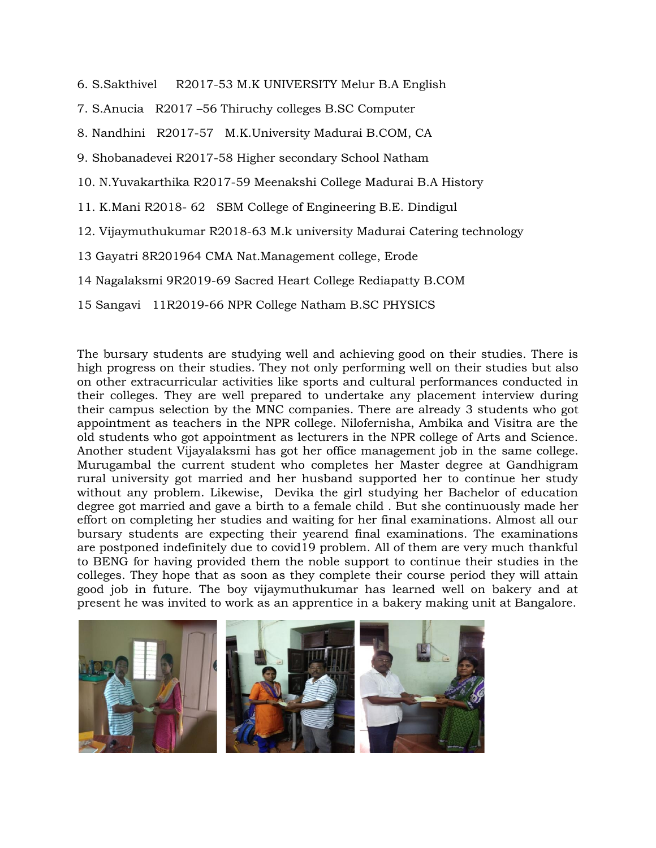- 6. S.Sakthivel R2017-53 M.K UNIVERSITY Melur B.A English
- 7. S.Anucia R2017 –56 Thiruchy colleges B.SC Computer
- 8. Nandhini R2017-57 M.K.University Madurai B.COM, CA
- 9. Shobanadevei R2017-58 Higher secondary School Natham
- 10. N.Yuvakarthika R2017-59 Meenakshi College Madurai B.A History
- 11. K.Mani R2018- 62 SBM College of Engineering B.E. Dindigul
- 12. Vijaymuthukumar R2018-63 M.k university Madurai Catering technology
- 13 Gayatri 8R201964 CMA Nat.Management college, Erode
- 14 Nagalaksmi 9R2019-69 Sacred Heart College Rediapatty B.COM
- 15 Sangavi 11R2019-66 NPR College Natham B.SC PHYSICS

The bursary students are studying well and achieving good on their studies. There is high progress on their studies. They not only performing well on their studies but also on other extracurricular activities like sports and cultural performances conducted in their colleges. They are well prepared to undertake any placement interview during their campus selection by the MNC companies. There are already 3 students who got appointment as teachers in the NPR college. Nilofernisha, Ambika and Visitra are the old students who got appointment as lecturers in the NPR college of Arts and Science. Another student Vijayalaksmi has got her office management job in the same college. Murugambal the current student who completes her Master degree at Gandhigram rural university got married and her husband supported her to continue her study without any problem. Likewise, Devika the girl studying her Bachelor of education degree got married and gave a birth to a female child . But she continuously made her effort on completing her studies and waiting for her final examinations. Almost all our bursary students are expecting their yearend final examinations. The examinations are postponed indefinitely due to covid19 problem. All of them are very much thankful to BENG for having provided them the noble support to continue their studies in the colleges. They hope that as soon as they complete their course period they will attain good job in future. The boy vijaymuthukumar has learned well on bakery and at present he was invited to work as an apprentice in a bakery making unit at Bangalore.